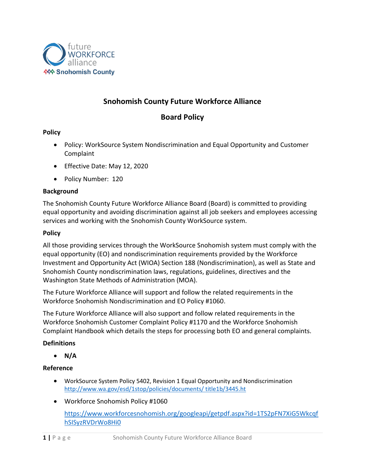

# **Snohomish County Future Workforce Alliance**

## **Board Policy**

## **Policy**

- Policy: WorkSource System Nondiscrimination and Equal Opportunity and Customer Complaint
- Effective Date: May 12, 2020
- Policy Number: 120

## **Background**

The Snohomish County Future Workforce Alliance Board (Board) is committed to providing equal opportunity and avoiding discrimination against all job seekers and employees accessing services and working with the Snohomish County WorkSource system.

#### **Policy**

All those providing services through the WorkSource Snohomish system must comply with the equal opportunity (EO) and nondiscrimination requirements provided by the Workforce Investment and Opportunity Act (WIOA) Section 188 (Nondiscrimination), as well as State and Snohomish County nondiscrimination laws, regulations, guidelines, directives and the Washington State Methods of Administration (MOA).

The Future Workforce Alliance will support and follow the related requirements in the Workforce Snohomish Nondiscrimination and EO Policy #1060.

The Future Workforce Alliance will also support and follow related requirements in the Workforce Snohomish Customer Complaint Policy #1170 and the Workforce Snohomish Complaint Handbook which details the steps for processing both EO and general complaints.

## **Definitions**

• **N/A**

## **Reference**

- WorkSource System Policy 5402, Revision 1 Equal Opportunity and Nondiscrimination [http://www.wa.gov/esd/1stop/policies/documents/ title1b/3445.ht](http://www.wa.gov/esd/1stop/policies/documents/%20title1b/3445.ht)
- Workforce Snohomish Policy #1060

[https://www.workforcesnohomish.org/googleapi/getpdf.aspx?id=1TS2pFN7XiG5Wkcqf](https://www.workforcesnohomish.org/googleapi/getpdf.aspx?id=1TS2pFN7XiG5WkcqfhSISyzRVDrWo8Hi0) [hSISyzRVDrWo8Hi0](https://www.workforcesnohomish.org/googleapi/getpdf.aspx?id=1TS2pFN7XiG5WkcqfhSISyzRVDrWo8Hi0)